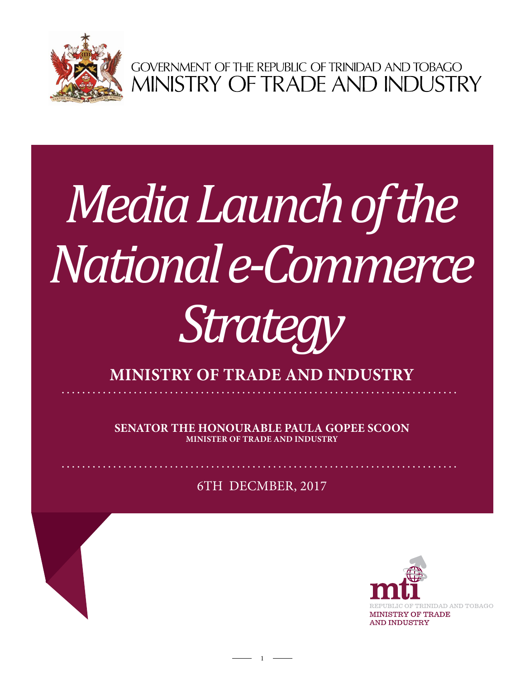

GOVERNMENT OF THE REPUBLIC OF TRINIDAD AND TOBAGO<br>MINISTRY OF TRADE AND INDUSTRY

## *Media Launch of the National e-Commerce*

## *Strategy*

**ministry of trade and industry**

**Senator the Honourable Paula Gopee Scoon Minister of Trade and Industry**

6TH DECMBER, 2017

1

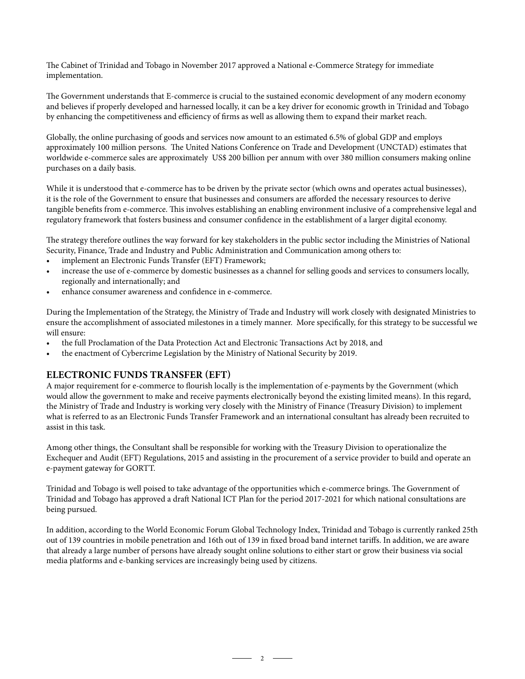The Cabinet of Trinidad and Tobago in November 2017 approved a National e-Commerce Strategy for immediate implementation.

The Government understands that E-commerce is crucial to the sustained economic development of any modern economy and believes if properly developed and harnessed locally, it can be a key driver for economic growth in Trinidad and Tobago by enhancing the competitiveness and efficiency of firms as well as allowing them to expand their market reach.

Globally, the online purchasing of goods and services now amount to an estimated 6.5% of global GDP and employs approximately 100 million persons. The United Nations Conference on Trade and Development (UNCTAD) estimates that worldwide e-commerce sales are approximately US\$ 200 billion per annum with over 380 million consumers making online purchases on a daily basis.

While it is understood that e-commerce has to be driven by the private sector (which owns and operates actual businesses), it is the role of the Government to ensure that businesses and consumers are afforded the necessary resources to derive tangible benefits from e-commerce. This involves establishing an enabling environment inclusive of a comprehensive legal and regulatory framework that fosters business and consumer confidence in the establishment of a larger digital economy.

The strategy therefore outlines the way forward for key stakeholders in the public sector including the Ministries of National Security, Finance, Trade and Industry and Public Administration and Communication among others to:

- implement an Electronic Funds Transfer (EFT) Framework;
- increase the use of e-commerce by domestic businesses as a channel for selling goods and services to consumers locally, regionally and internationally; and
- enhance consumer awareness and confidence in e-commerce.

During the Implementation of the Strategy, the Ministry of Trade and Industry will work closely with designated Ministries to ensure the accomplishment of associated milestones in a timely manner. More specifically, for this strategy to be successful we will ensure:

- the full Proclamation of the Data Protection Act and Electronic Transactions Act by 2018, and
- the enactment of Cybercrime Legislation by the Ministry of National Security by 2019.

## **Electronic Funds Transfer (EFT)**

A major requirement for e-commerce to flourish locally is the implementation of e-payments by the Government (which would allow the government to make and receive payments electronically beyond the existing limited means). In this regard, the Ministry of Trade and Industry is working very closely with the Ministry of Finance (Treasury Division) to implement what is referred to as an Electronic Funds Transfer Framework and an international consultant has already been recruited to assist in this task.

Among other things, the Consultant shall be responsible for working with the Treasury Division to operationalize the Exchequer and Audit (EFT) Regulations, 2015 and assisting in the procurement of a service provider to build and operate an e-payment gateway for GORTT.

Trinidad and Tobago is well poised to take advantage of the opportunities which e-commerce brings. The Government of Trinidad and Tobago has approved a draft National ICT Plan for the period 2017-2021 for which national consultations are being pursued.

In addition, according to the World Economic Forum Global Technology Index, Trinidad and Tobago is currently ranked 25th out of 139 countries in mobile penetration and 16th out of 139 in fixed broad band internet tariffs. In addition, we are aware that already a large number of persons have already sought online solutions to either start or grow their business via social media platforms and e-banking services are increasingly being used by citizens.